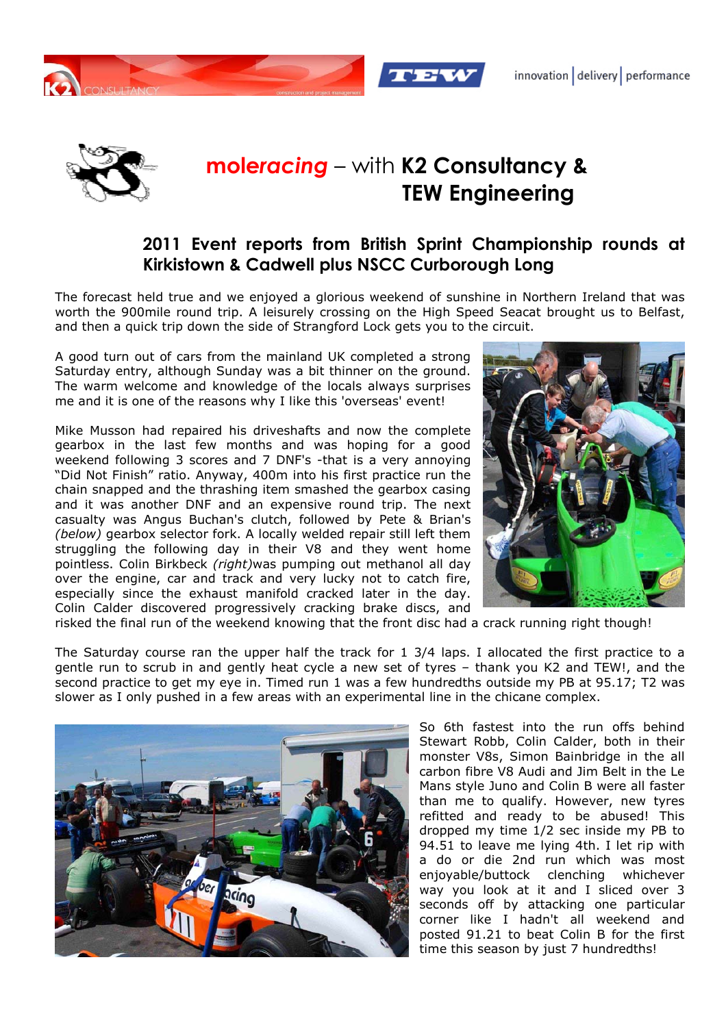



## **mole***racing* – with **K2 Consultancy & TEW Engineering**

## **2011 Event reports from British Sprint Championship rounds at Kirkistown & Cadwell plus NSCC Curborough Long**

The forecast held true and we enjoyed a glorious weekend of sunshine in Northern Ireland that was worth the 900mile round trip. A leisurely crossing on the High Speed Seacat brought us to Belfast, and then a quick trip down the side of Strangford Lock gets you to the circuit.

A good turn out of cars from the mainland UK completed a strong Saturday entry, although Sunday was a bit thinner on the ground. The warm welcome and knowledge of the locals always surprises me and it is one of the reasons why I like this 'overseas' event!

Mike Musson had repaired his driveshafts and now the complete gearbox in the last few months and was hoping for a good weekend following 3 scores and 7 DNF's -that is a very annoying "Did Not Finish" ratio. Anyway, 400m into his first practice run the chain snapped and the thrashing item smashed the gearbox casing and it was another DNF and an expensive round trip. The next casualty was Angus Buchan's clutch, followed by Pete & Brian's *(below)* gearbox selector fork. A locally welded repair still left them struggling the following day in their V8 and they went home pointless. Colin Birkbeck *(right)*was pumping out methanol all day over the engine, car and track and very lucky not to catch fire, especially since the exhaust manifold cracked later in the day. Colin Calder discovered progressively cracking brake discs, and



risked the final run of the weekend knowing that the front disc had a crack running right though!

The Saturday course ran the upper half the track for 1 3/4 laps. I allocated the first practice to a gentle run to scrub in and gently heat cycle a new set of tyres – thank you K2 and TEW!, and the second practice to get my eye in. Timed run 1 was a few hundredths outside my PB at 95.17; T2 was slower as I only pushed in a few areas with an experimental line in the chicane complex.



So 6th fastest into the run offs behind Stewart Robb, Colin Calder, both in their monster V8s, Simon Bainbridge in the all carbon fibre V8 Audi and Jim Belt in the Le Mans style Juno and Colin B were all faster than me to qualify. However, new tyres refitted and ready to be abused! This dropped my time 1/2 sec inside my PB to 94.51 to leave me lying 4th. I let rip with a do or die 2nd run which was most enjoyable/buttock clenching whichever way you look at it and I sliced over 3 seconds off by attacking one particular corner like I hadn't all weekend and posted 91.21 to beat Colin B for the first time this season by just 7 hundredths!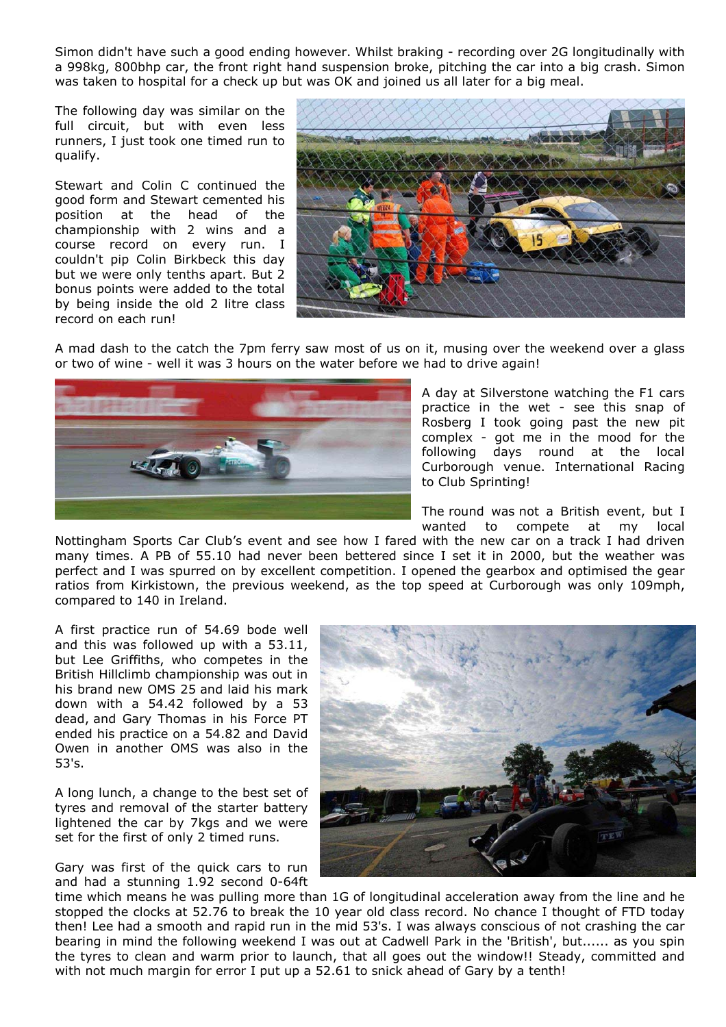Simon didn't have such a good ending however. Whilst braking - recording over 2G longitudinally with a 998kg, 800bhp car, the front right hand suspension broke, pitching the car into a big crash. Simon was taken to hospital for a check up but was OK and joined us all later for a big meal.

The following day was similar on the full circuit, but with even less runners, I just took one timed run to qualify.

Stewart and Colin C continued the good form and Stewart cemented his position at the head of the championship with 2 wins and a course record on every run. I couldn't pip Colin Birkbeck this day but we were only tenths apart. But 2 bonus points were added to the total by being inside the old 2 litre class record on each run!



A mad dash to the catch the 7pm ferry saw most of us on it, musing over the weekend over a glass or two of wine - well it was 3 hours on the water before we had to drive again!



A day at Silverstone watching the F1 cars practice in the wet - see this snap of Rosberg I took going past the new pit complex - got me in the mood for the following days round at the local Curborough venue. International Racing to Club Sprinting!

The round was not a British event, but I wanted to compete at my local

Nottingham Sports Car Club's event and see how I fared with the new car on a track I had driven many times. A PB of 55.10 had never been bettered since I set it in 2000, but the weather was perfect and I was spurred on by excellent competition. I opened the gearbox and optimised the gear ratios from Kirkistown, the previous weekend, as the top speed at Curborough was only 109mph, compared to 140 in Ireland.

A first practice run of 54.69 bode well and this was followed up with a 53.11, but Lee Griffiths, who competes in the British Hillclimb championship was out in his brand new OMS 25 and laid his mark down with a 54.42 followed by a 53 dead, and Gary Thomas in his Force PT ended his practice on a 54.82 and David Owen in another OMS was also in the 53's.

A long lunch, a change to the best set of tyres and removal of the starter battery lightened the car by 7kgs and we were set for the first of only 2 timed runs.

Gary was first of the quick cars to run and had a stunning 1.92 second 0-64ft



time which means he was pulling more than 1G of longitudinal acceleration away from the line and he stopped the clocks at 52.76 to break the 10 year old class record. No chance I thought of FTD today then! Lee had a smooth and rapid run in the mid 53's. I was always conscious of not crashing the car bearing in mind the following weekend I was out at Cadwell Park in the 'British', but...... as you spin the tyres to clean and warm prior to launch, that all goes out the window!! Steady, committed and with not much margin for error I put up a 52.61 to snick ahead of Gary by a tenth!